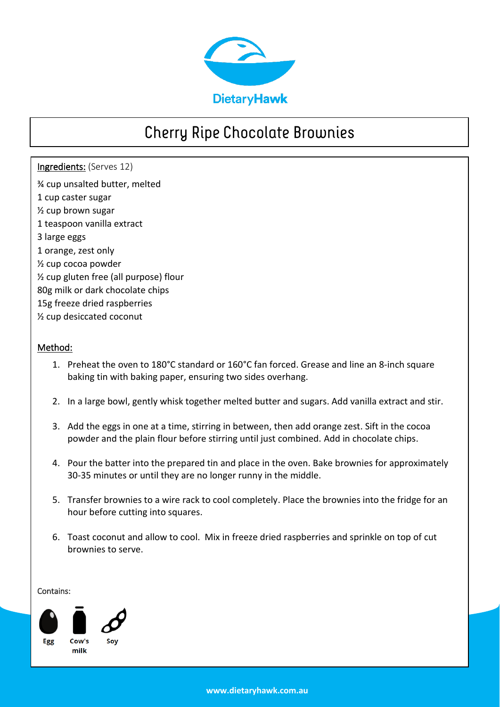

## **Cherry Ripe Chocolate Brownies**

Ingredients: (Serves 12) ¾ cup unsalted butter, melted 1 cup caster sugar ½ cup brown sugar 1 teaspoon vanilla extract 3 large eggs 1 orange, zest only ½ cup cocoa powder ½ cup gluten free (all purpose) flour 80g milk or dark chocolate chips 15g freeze dried raspberries ½ cup desiccated coconut

## Method:

- 1. Preheat the oven to 180°C standard or 160°C fan forced. Grease and line an 8-inch square baking tin with baking paper, ensuring two sides overhang.
- 2. In a large bowl, gently whisk together melted butter and sugars. Add vanilla extract and stir.
- 3. Add the eggs in one at a time, stirring in between, then add orange zest. Sift in the cocoa powder and the plain flour before stirring until just combined. Add in chocolate chips.
- 4. Pour the batter into the prepared tin and place in the oven. Bake brownies for approximately 30-35 minutes or until they are no longer runny in the middle.
- 5. Transfer brownies to a wire rack to cool completely. Place the brownies into the fridge for an hour before cutting into squares.
- 6. Toast coconut and allow to cool. Mix in freeze dried raspberries and sprinkle on top of cut brownies to serve.

Contains:

֖֖֖֖֖֖֖֖֖֖֖֖֧֚֚֚֚֚֚֚֚֚֚֚֚֚֚֚֚֚֚֚֚֚֬֝֝֓֞֡֞֡֞֡֓֞֡֞֡֞֡֓֞֡֓֞֡֞֡